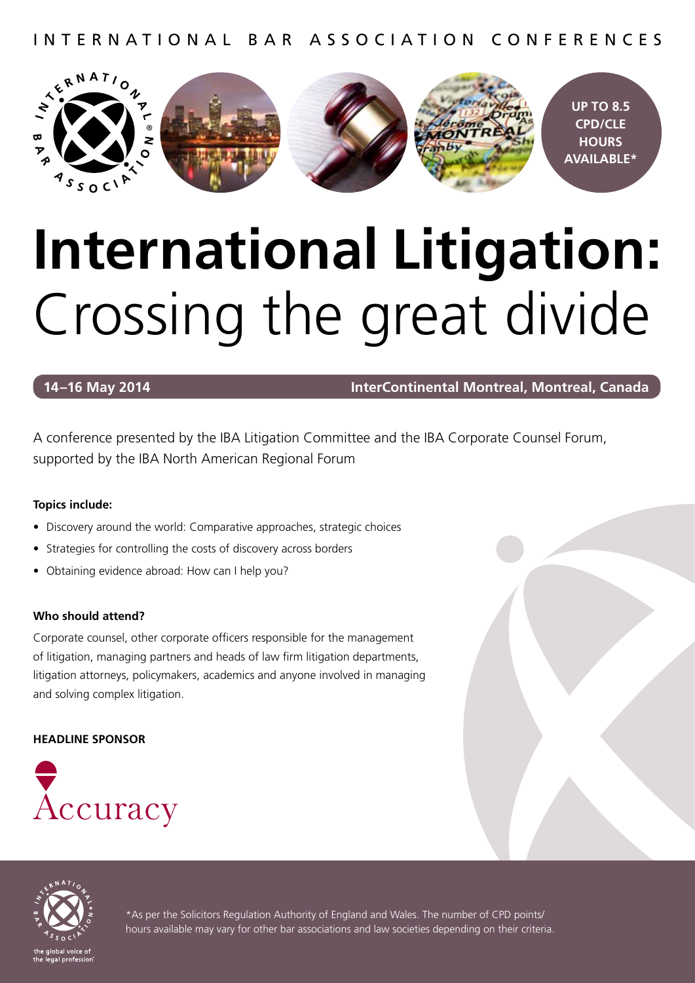INTERNATIONAL BAR ASSOCIATION CONFERENCES



## **International Litigation:** Crossing the great divide

**14–16 May 2014 InterContinental Montreal, Montreal, Canada**

A conference presented by the IBA Litigation Committee and the IBA Corporate Counsel Forum, supported by the IBA North American Regional Forum

#### **Topics include:**

- Discovery around the world: Comparative approaches, strategic choices
- Strategies for controlling the costs of discovery across borders
- Obtaining evidence abroad: How can I help you?

#### **Who should attend?**

Corporate counsel, other corporate officers responsible for the management of litigation, managing partners and heads of law firm litigation departments, litigation attorneys, policymakers, academics and anyone involved in managing and solving complex litigation.

#### **HEADLINE SPONSOR**





\*As per the Solicitors Regulation Authority of England and Wales. The number of CPD points/ hours available may vary for other bar associations and law societies depending on their criteria.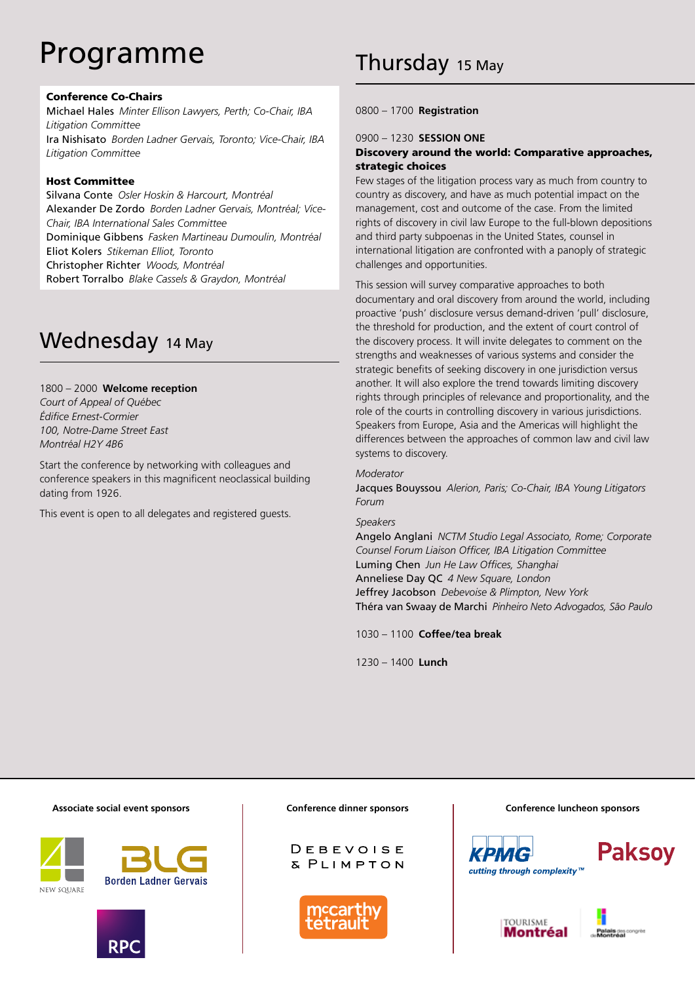## Programme

#### Conference Co-Chairs

Michael Hales *Minter Ellison Lawyers, Perth; Co-Chair, IBA Litigation Committee* Ira Nishisato *Borden Ladner Gervais, Toronto; Vice-Chair, IBA Litigation Committee*

#### Host Committee

Silvana Conte *Osler Hoskin & Harcourt, Montréal*  Alexander De Zordo *Borden Ladner Gervais, Montréal; Vice-Chair, IBA International Sales Committee* Dominique Gibbens *Fasken Martineau Dumoulin, Montréal*  Eliot Kolers *Stikeman Elliot, Toronto* Christopher Richter *Woods, Montréal*  Robert Torralbo *Blake Cassels & Graydon, Montréal*

#### Wednesday 14 May

#### 1800 – 2000 **Welcome reception**

*Court of Appeal of Québec Édifice Ernest-Cormier 100, Notre-Dame Street East Montréal H2Y 4B6*

Start the conference by networking with colleagues and conference speakers in this magnificent neoclassical building dating from 1926.

This event is open to all delegates and registered guests.

#### 0800 – 1700 **Registration**

#### 0900 – 1230 **SESSION ONE**

#### Discovery around the world: Comparative approaches, strategic choices

Few stages of the litigation process vary as much from country to country as discovery, and have as much potential impact on the management, cost and outcome of the case. From the limited rights of discovery in civil law Europe to the full-blown depositions and third party subpoenas in the United States, counsel in international litigation are confronted with a panoply of strategic challenges and opportunities.

This session will survey comparative approaches to both documentary and oral discovery from around the world, including proactive 'push' disclosure versus demand-driven 'pull' disclosure, the threshold for production, and the extent of court control of the discovery process. It will invite delegates to comment on the strengths and weaknesses of various systems and consider the strategic benefits of seeking discovery in one jurisdiction versus another. It will also explore the trend towards limiting discovery rights through principles of relevance and proportionality, and the role of the courts in controlling discovery in various jurisdictions. Speakers from Europe, Asia and the Americas will highlight the differences between the approaches of common law and civil law systems to discovery.

#### *Moderator*

Jacques Bouyssou *Alerion, Paris; Co-Chair, IBA Young Litigators Forum*

#### *Speakers*

Angelo Anglani *NCTM Studio Legal Associato, Rome; Corporate Counsel Forum Liaison Officer, IBA Litigation Committee* Luming Chen *Jun He Law Offices, Shanghai* Anneliese Day QC *4 New Square, London* Jeffrey Jacobson *Debevoise & Plimpton, New York* Théra van Swaay de Marchi *Pinheiro Neto Advogados, São Paulo*

1030 – 1100 **Coffee/tea break**

1230 – 1400 **Lunch**

#### **Associate social event sponsors**









#### **Conference dinner sponsors Conference luncheon sponsors**





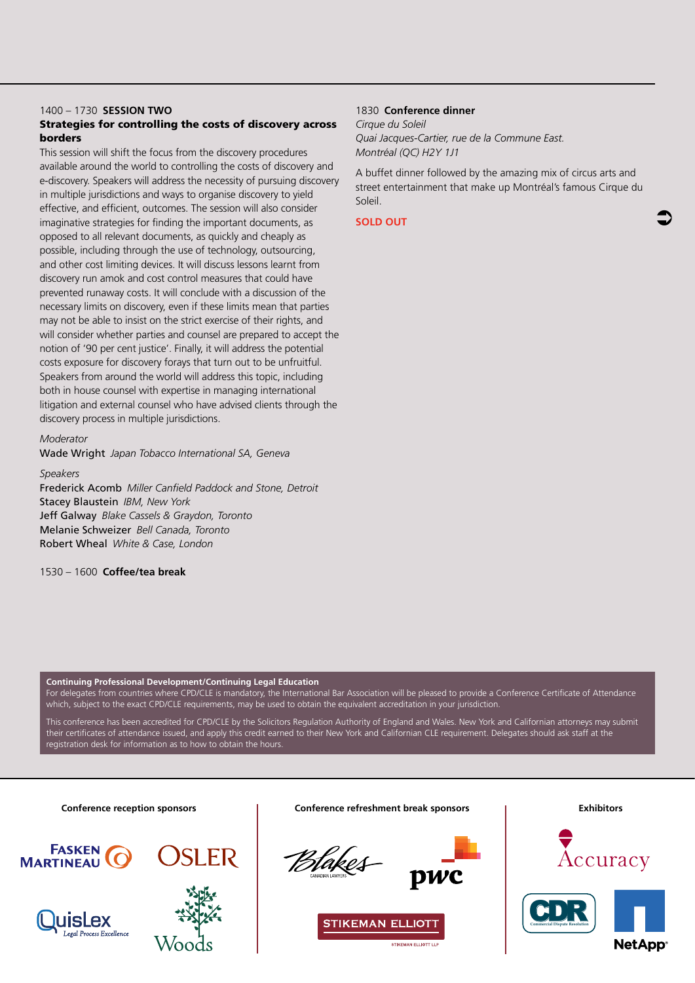#### 1400 – 1730 **SESSION TWO**

#### Strategies for controlling the costs of discovery across borders

This session will shift the focus from the discovery procedures available around the world to controlling the costs of discovery and e-discovery. Speakers will address the necessity of pursuing discovery in multiple jurisdictions and ways to organise discovery to yield effective, and efficient, outcomes. The session will also consider imaginative strategies for finding the important documents, as opposed to all relevant documents, as quickly and cheaply as possible, including through the use of technology, outsourcing, and other cost limiting devices. It will discuss lessons learnt from discovery run amok and cost control measures that could have prevented runaway costs. It will conclude with a discussion of the necessary limits on discovery, even if these limits mean that parties may not be able to insist on the strict exercise of their rights, and will consider whether parties and counsel are prepared to accept the notion of '90 per cent justice'. Finally, it will address the potential costs exposure for discovery forays that turn out to be unfruitful. Speakers from around the world will address this topic, including both in house counsel with expertise in managing international litigation and external counsel who have advised clients through the discovery process in multiple jurisdictions.

#### *Moderator*

Wade Wright *Japan Tobacco International SA, Geneva*

#### *Speakers*

Frederick Acomb *Miller Canfield Paddock and Stone, Detroit* Stacey Blaustein *IBM, New York* Jeff Galway *Blake Cassels & Graydon, Toronto* Melanie Schweizer *Bell Canada, Toronto* Robert Wheal *White & Case, London*

#### 1530 – 1600 **Coffee/tea break**

#### 1830 **Conference dinner**

*Cirque du Soleil Quai Jacques-Cartier, rue de la Commune East. Montréal (QC) H2Y 1J1*

A buffet dinner followed by the amazing mix of circus arts and street entertainment that make up Montréal's famous Cirque du Soleil.

#### **SOLD OUT**

**Continuing Professional Development/Continuing Legal Education**

For delegates from countries where CPD/CLE is mandatory, the International Bar Association will be pleased to provide a Conference Certificate of Attendance which, subject to the exact CPD/CLE requirements, may be used to obtain the equivalent accreditation in your jurisdiction.

This conference has been accredited for CPD/CLE by the Solicitors Regulation Authority of England and Wales. New York and Californian attorneys may submit their certificates of attendance issued, and apply this credit earned to their New York and Californian CLE requirement. Delegates should ask staff at the registration desk for information as to how to obtain the hours.

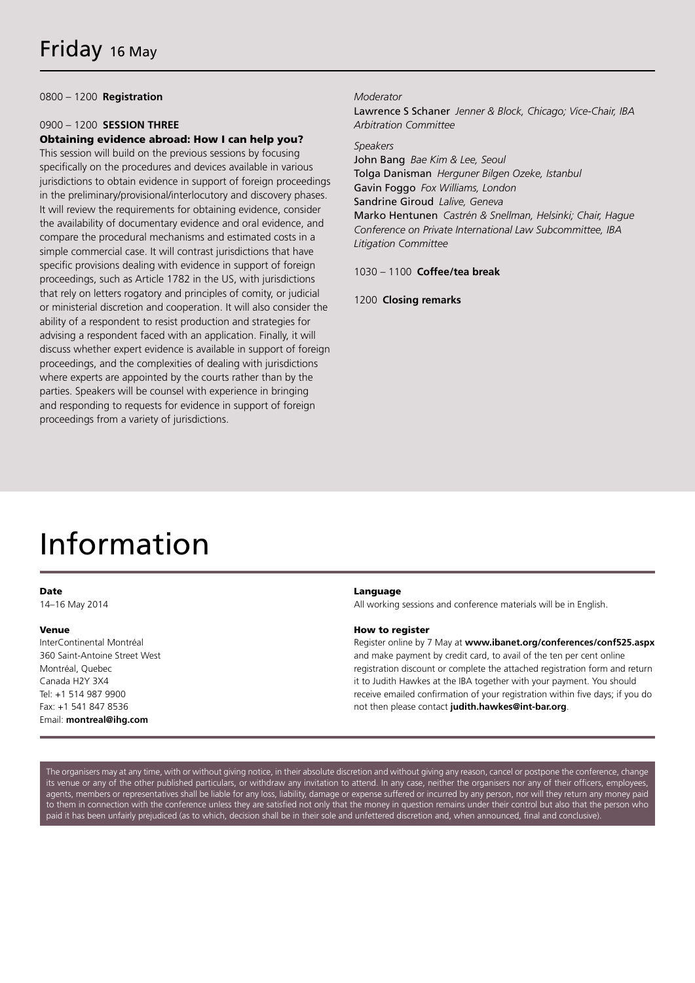0800 – 1200 **Registration**

#### 0900 – 1200 **SESSION THREE** Obtaining evidence abroad: How I can help you?

This session will build on the previous sessions by focusing specifically on the procedures and devices available in various jurisdictions to obtain evidence in support of foreign proceedings in the preliminary/provisional/interlocutory and discovery phases. It will review the requirements for obtaining evidence, consider the availability of documentary evidence and oral evidence, and compare the procedural mechanisms and estimated costs in a simple commercial case. It will contrast jurisdictions that have specific provisions dealing with evidence in support of foreign proceedings, such as Article 1782 in the US, with jurisdictions that rely on letters rogatory and principles of comity, or judicial or ministerial discretion and cooperation. It will also consider the ability of a respondent to resist production and strategies for advising a respondent faced with an application. Finally, it will discuss whether expert evidence is available in support of foreign proceedings, and the complexities of dealing with jurisdictions where experts are appointed by the courts rather than by the parties. Speakers will be counsel with experience in bringing and responding to requests for evidence in support of foreign proceedings from a variety of jurisdictions.

#### *Moderator*

Lawrence S Schaner *Jenner & Block, Chicago; Vice-Chair, IBA Arbitration Committee*

#### *Speakers*

John Bang *Bae Kim & Lee, Seoul* Tolga Danisman *Herguner Bilgen Ozeke, Istanbul*  Gavin Foggo *Fox Williams, London* Sandrine Giroud *Lalive, Geneva* Marko Hentunen *Castrén & Snellman, Helsinki; Chair, Hague Conference on Private International Law Subcommittee, IBA Litigation Committee*

#### 1030 – 1100 **Coffee/tea break**

1200 **Closing remarks**

## Information

#### Date

14–16 May 2014

#### Venue

InterContinental Montréal 360 Saint-Antoine Street West Montréal, Quebec Canada H2Y 3X4 Tel: +1 514 987 9900 Fax: +1 541 847 8536 Email: **montreal@ihg.com**

#### Language

All working sessions and conference materials will be in English.

#### How to register

Register online by 7 May at **www.ibanet.org/conferences/conf525.aspx** and make payment by credit card, to avail of the ten per cent online registration discount or complete the attached registration form and return it to Judith Hawkes at the IBA together with your payment. You should receive emailed confirmation of your registration within five days; if you do not then please contact **judith.hawkes@int-bar.org**.

The organisers may at any time, with or without giving notice, in their absolute discretion and without giving any reason, cancel or postpone the conference, change its venue or any of the other published particulars, or withdraw any invitation to attend. In any case, neither the organisers nor any of their officers, employees agents, members or representatives shall be liable for any loss, liability, damage or expense suffered or incurred by any person, nor will they return any money paid to them in connection with the conference unless they are satisfied not only that the money in question remains under their control but also that the person who paid it has been unfairly prejudiced (as to which, decision shall be in their sole and unfettered discretion and, when announced, final and conclusive)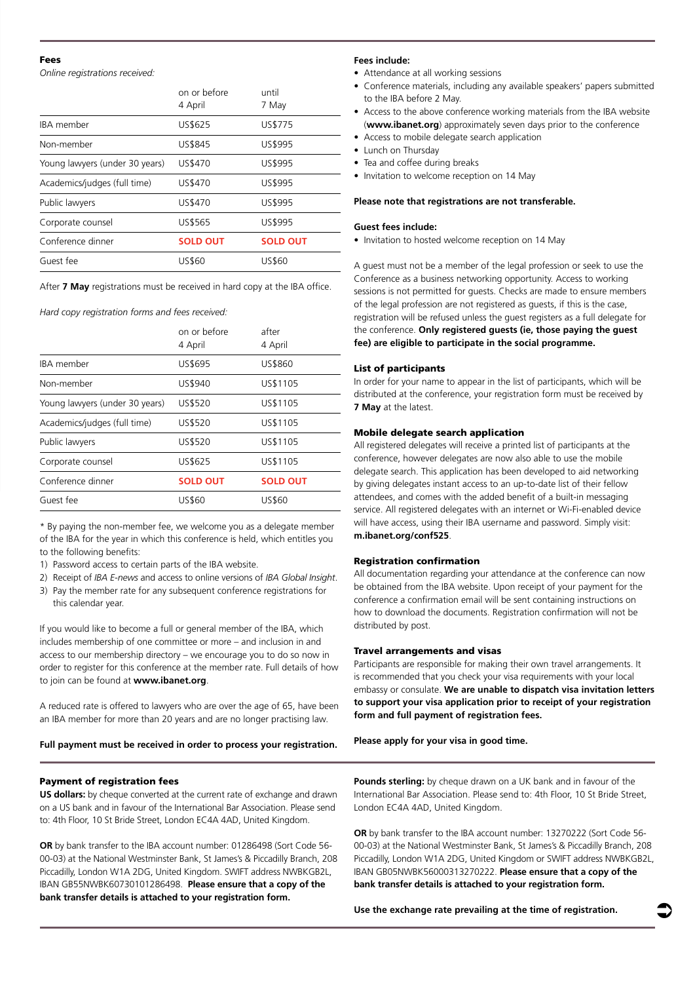#### Fees

*Online registrations received:*

|                                | on or before<br>4 April | until<br>7 May  |
|--------------------------------|-------------------------|-----------------|
| <b>IRA</b> member              | US\$625                 | US\$775         |
| Non-member                     | US\$845                 | US\$995         |
| Young lawyers (under 30 years) | US\$470                 | US\$995         |
| Academics/judges (full time)   | US\$470                 | US\$995         |
| Public lawyers                 | US\$470                 | US\$995         |
| Corporate counsel              | US\$565                 | US\$995         |
| Conference dinner              | <b>SOLD OUT</b>         | <b>SOLD OUT</b> |
| Guest fee                      | US\$60                  | US\$60          |

After **7 May** registrations must be received in hard copy at the IBA office.

*Hard copy registration forms and fees received:*

|                                | on or before<br>4 April | after<br>4 April |
|--------------------------------|-------------------------|------------------|
| <b>IBA</b> member              | US\$695                 | US\$860          |
| Non-member                     | US\$940                 | US\$1105         |
| Young lawyers (under 30 years) | US\$520                 | US\$1105         |
| Academics/judges (full time)   | US\$520                 | US\$1105         |
| Public lawyers                 | US\$520                 | US\$1105         |
| Corporate counsel              | US\$625                 | US\$1105         |
| Conference dinner              | <b>SOLD OUT</b>         | <b>SOLD OUT</b>  |
| Guest fee                      | US\$60                  | US\$60           |

\* By paying the non-member fee, we welcome you as a delegate member of the IBA for the year in which this conference is held, which entitles you to the following benefits:

- 1) Password access to certain parts of the IBA website.
- 2) Receipt of *IBA E-news* and access to online versions of *IBA Global Insight*.
- 3) Pay the member rate for any subsequent conference registrations for this calendar year.

If you would like to become a full or general member of the IBA, which includes membership of one committee or more – and inclusion in and access to our membership directory – we encourage you to do so now in order to register for this conference at the member rate. Full details of how to join can be found at **www.ibanet.org**.

A reduced rate is offered to lawyers who are over the age of 65, have been an IBA member for more than 20 years and are no longer practising law.

**Full payment must be received in order to process your registration.**

#### Payment of registration fees

**US dollars:** by cheque converted at the current rate of exchange and drawn on a US bank and in favour of the International Bar Association. Please send to: 4th Floor, 10 St Bride Street, London EC4A 4AD, United Kingdom.

**OR** by bank transfer to the IBA account number: 01286498 (Sort Code 56- 00-03) at the National Westminster Bank, St James's & Piccadilly Branch, 208 Piccadilly, London W1A 2DG, United Kingdom. SWIFT address NWBKGB2L, IBAN GB55NWBK60730101286498. **Please ensure that a copy of the bank transfer details is attached to your registration form.**

#### **Fees include:**

- Attendance at all working sessions
- Conference materials, including any available speakers' papers submitted to the IBA before 2 May.
- Access to the above conference working materials from the IBA website (**www.ibanet.org**) approximately seven days prior to the conference
- Access to mobile delegate search application
- Lunch on Thursday
- Tea and coffee during breaks
- Invitation to welcome reception on 14 May

#### **Please note that registrations are not transferable.**

#### **Guest fees include:**

• Invitation to hosted welcome reception on 14 May

A guest must not be a member of the legal profession or seek to use the Conference as a business networking opportunity. Access to working sessions is not permitted for guests. Checks are made to ensure members of the legal profession are not registered as guests, if this is the case, registration will be refused unless the guest registers as a full delegate for the conference. **Only registered guests (ie, those paying the guest fee) are eligible to participate in the social programme.**

#### List of participants

In order for your name to appear in the list of participants, which will be distributed at the conference, your registration form must be received by **7 May** at the latest.

#### Mobile delegate search application

All registered delegates will receive a printed list of participants at the conference, however delegates are now also able to use the mobile delegate search. This application has been developed to aid networking by giving delegates instant access to an up-to-date list of their fellow attendees, and comes with the added benefit of a built-in messaging service. All registered delegates with an internet or Wi-Fi-enabled device will have access, using their IBA username and password. Simply visit: **m.ibanet.org/conf525**.

#### Registration confirmation

All documentation regarding your attendance at the conference can now be obtained from the IBA website. Upon receipt of your payment for the conference a confirmation email will be sent containing instructions on how to download the documents. Registration confirmation will not be distributed by post.

#### Travel arrangements and visas

Participants are responsible for making their own travel arrangements. It is recommended that you check your visa requirements with your local embassy or consulate. **We are unable to dispatch visa invitation letters to support your visa application prior to receipt of your registration form and full payment of registration fees.** 

**Please apply for your visa in good time.**

**Pounds sterling:** by cheque drawn on a UK bank and in favour of the International Bar Association. Please send to: 4th Floor, 10 St Bride Street, London EC4A 4AD, United Kingdom.

**OR** by bank transfer to the IBA account number: 13270222 (Sort Code 56- 00-03) at the National Westminster Bank, St James's & Piccadilly Branch, 208 Piccadilly, London W1A 2DG, United Kingdom or SWIFT address NWBKGB2L, IBAN GB05NWBK56000313270222. **Please ensure that a copy of the bank transfer details is attached to your registration form.**

**Use the exchange rate prevailing at the time of registration.**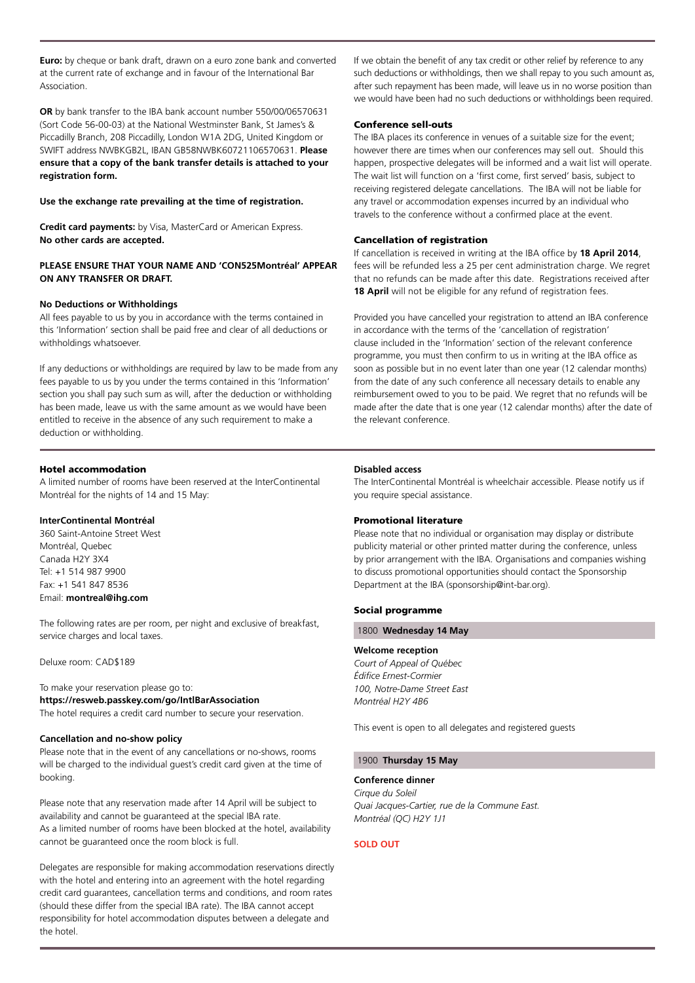**Euro:** by cheque or bank draft, drawn on a euro zone bank and converted at the current rate of exchange and in favour of the International Bar Association.

**OR** by bank transfer to the IBA bank account number 550/00/06570631 (Sort Code 56-00-03) at the National Westminster Bank, St James's & Piccadilly Branch, 208 Piccadilly, London W1A 2DG, United Kingdom or SWIFT address NWBKGB2L, IBAN GB58NWBK60721106570631. **Please ensure that a copy of the bank transfer details is attached to your registration form.**

#### **Use the exchange rate prevailing at the time of registration.**

**Credit card payments:** by Visa, MasterCard or American Express. **No other cards are accepted.** 

#### **PLEASE ENSURE THAT YOUR NAME AND 'CON525Montréal' APPEAR ON ANY TRANSFER OR DRAFT.**

#### **No Deductions or Withholdings**

All fees payable to us by you in accordance with the terms contained in this 'Information' section shall be paid free and clear of all deductions or withholdings whatsoever.

If any deductions or withholdings are required by law to be made from any fees payable to us by you under the terms contained in this 'Information' section you shall pay such sum as will, after the deduction or withholding has been made, leave us with the same amount as we would have been entitled to receive in the absence of any such requirement to make a deduction or withholding.

#### Hotel accommodation

A limited number of rooms have been reserved at the InterContinental Montréal for the nights of 14 and 15 May:

#### **InterContinental Montréal**

360 Saint-Antoine Street West Montréal, Quebec Canada H2Y 3X4 Tel: +1 514 987 9900 Fax: +1 541 847 8536 Email: **montreal@ihg.com**

The following rates are per room, per night and exclusive of breakfast, service charges and local taxes.

Deluxe room: CAD\$189

To make your reservation please go to: **https://resweb.passkey.com/go/IntlBarAssociation** The hotel requires a credit card number to secure your reservation.

#### **Cancellation and no-show policy**

Please note that in the event of any cancellations or no-shows, rooms will be charged to the individual guest's credit card given at the time of booking.

Please note that any reservation made after 14 April will be subject to availability and cannot be guaranteed at the special IBA rate. As a limited number of rooms have been blocked at the hotel, availability cannot be guaranteed once the room block is full.

Delegates are responsible for making accommodation reservations directly with the hotel and entering into an agreement with the hotel regarding credit card guarantees, cancellation terms and conditions, and room rates (should these differ from the special IBA rate). The IBA cannot accept responsibility for hotel accommodation disputes between a delegate and the hotel.

If we obtain the benefit of any tax credit or other relief by reference to any such deductions or withholdings, then we shall repay to you such amount as, after such repayment has been made, will leave us in no worse position than we would have been had no such deductions or withholdings been required.

#### Conference sell-outs

The IBA places its conference in venues of a suitable size for the event; however there are times when our conferences may sell out. Should this happen, prospective delegates will be informed and a wait list will operate. The wait list will function on a 'first come, first served' basis, subject to receiving registered delegate cancellations. The IBA will not be liable for any travel or accommodation expenses incurred by an individual who travels to the conference without a confirmed place at the event.

#### Cancellation of registration

If cancellation is received in writing at the IBA office by **18 April 2014**, fees will be refunded less a 25 per cent administration charge. We regret that no refunds can be made after this date. Registrations received after **18 April** will not be eligible for any refund of registration fees.

Provided you have cancelled your registration to attend an IBA conference in accordance with the terms of the 'cancellation of registration' clause included in the 'Information' section of the relevant conference programme, you must then confirm to us in writing at the IBA office as soon as possible but in no event later than one year (12 calendar months) from the date of any such conference all necessary details to enable any reimbursement owed to you to be paid. We regret that no refunds will be made after the date that is one year (12 calendar months) after the date of the relevant conference.

#### **Disabled access**

The InterContinental Montréal is wheelchair accessible. Please notify us if you require special assistance.

#### Promotional literature

Please note that no individual or organisation may display or distribute publicity material or other printed matter during the conference, unless by prior arrangement with the IBA. Organisations and companies wishing to discuss promotional opportunities should contact the Sponsorship Department at the IBA (sponsorship@int-bar.org).

#### Social programme

#### 1800 **Wednesday 14 May**

#### **Welcome reception**

*Court of Appeal of Québec Édifice Ernest-Cormier 100, Notre-Dame Street East Montréal H2Y 4B6*

This event is open to all delegates and registered guests

#### 1900 **Thursday 15 May**

#### **Conference dinner**

*Cirque du Soleil Quai Jacques-Cartier, rue de la Commune East. Montréal (QC) H2Y 1J1*

#### **SOLD OUT**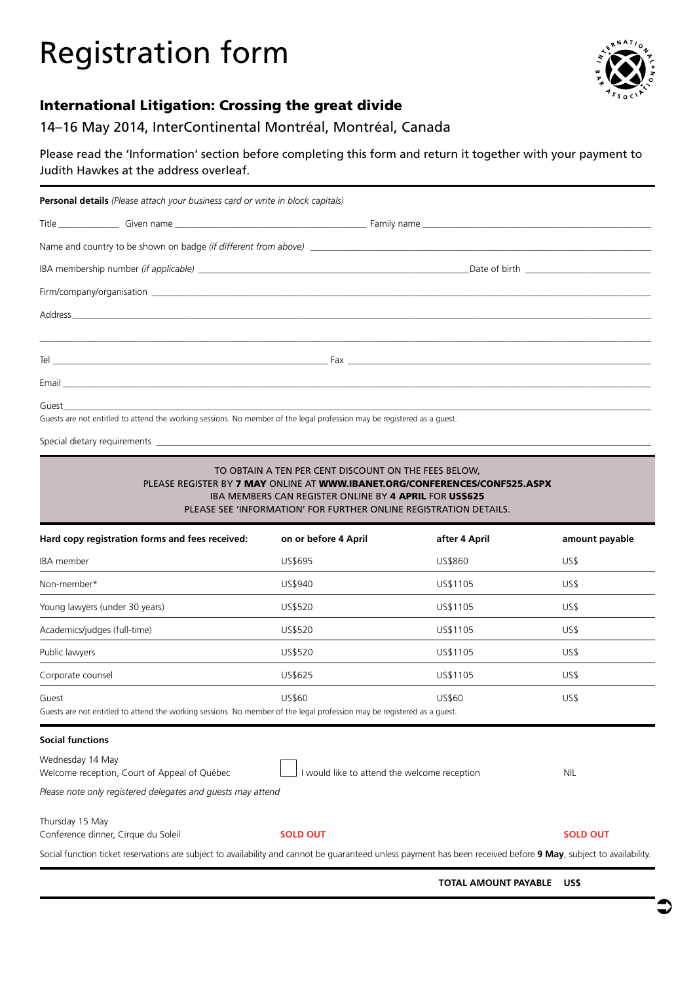## Registration form



#### International Litigation: Crossing the great divide

#### 14–16 May 2014, InterContinental Montréal, Montréal, Canada

Please read the 'Information' section before completing this form and return it together with your payment to Judith Hawkes at the address overleaf.

| <b>Personal details</b> (Please attach your business card or write in block capitals) |  |  |  |
|---------------------------------------------------------------------------------------|--|--|--|
|                                                                                       |  |  |  |
|                                                                                       |  |  |  |
|                                                                                       |  |  |  |
|                                                                                       |  |  |  |
|                                                                                       |  |  |  |
|                                                                                       |  |  |  |
|                                                                                       |  |  |  |
|                                                                                       |  |  |  |
|                                                                                       |  |  |  |

Guests are not entitled to attend the working sessions. No member of the legal profession may be registered as a guest.

Special dietary requirements \_

#### TO OBTAIN A TEN PER CENT DISCOUNT ON THE FEES BELOW, PLEASE REGISTER BY 7 MAY ONLINE AT WWW.IBANET.ORG/CONFERENCES/CONF525.ASPX IBA MEMBERS CAN REGISTER ONLINE BY 4 APRIL FOR US\$625 PLEASE SEE 'INFORMATION' FOR FURTHER ONLINE REGISTRATION DETAILS.

| Hard copy registration forms and fees received:                                                                                                                  | on or before 4 April                         | after 4 April | amount payable  |
|------------------------------------------------------------------------------------------------------------------------------------------------------------------|----------------------------------------------|---------------|-----------------|
| <b>IBA</b> member                                                                                                                                                | US\$695                                      | US\$860       | US\$            |
| Non-member*                                                                                                                                                      | US\$940                                      | US\$1105      | US\$            |
| Young lawyers (under 30 years)                                                                                                                                   | US\$520                                      | US\$1105      | US\$            |
| Academics/judges (full-time)                                                                                                                                     | US\$520                                      | US\$1105      | US\$            |
| Public lawyers                                                                                                                                                   | US\$520                                      | US\$1105      | US\$            |
| Corporate counsel                                                                                                                                                | US\$625                                      | US\$1105      | US\$            |
| Guest<br>Guests are not entitled to attend the working sessions. No member of the legal profession may be registered as a quest.                                 | <b>US\$60</b>                                | US\$60        | US\$            |
| <b>Social functions</b>                                                                                                                                          |                                              |               |                 |
| Wednesday 14 May<br>Welcome reception, Court of Appeal of Québec                                                                                                 | I would like to attend the welcome reception |               | <b>NIL</b>      |
| Please note only registered delegates and quests may attend                                                                                                      |                                              |               |                 |
| Thursday 15 May<br>Conference dinner, Cirque du Soleil                                                                                                           | <b>SOLD OUT</b>                              |               | <b>SOLD OUT</b> |
| Social function ticket reservations are subject to availability and cannot be guaranteed unless payment has been received before 9 May, subject to availability. |                                              |               |                 |

 **TOTAL AMOUNT PAYABLE US\$**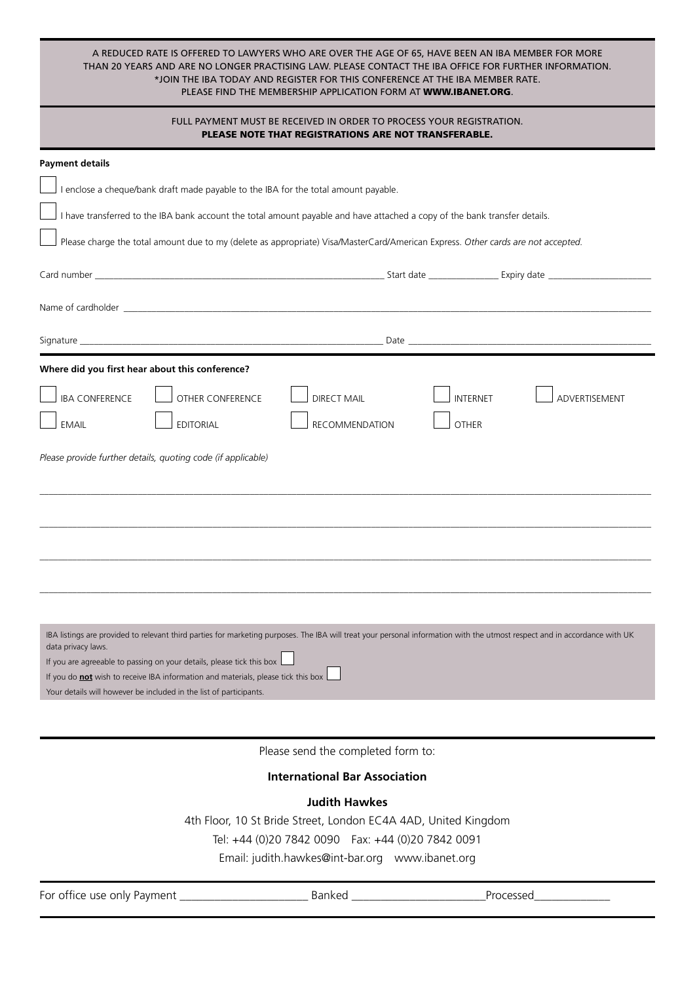| A REDUCED RATE IS OFFERED TO LAWYERS WHO ARE OVER THE AGE OF 65. HAVE BEEN AN IBA MEMBER FOR MORE      |  |
|--------------------------------------------------------------------------------------------------------|--|
| THAN 20 YEARS AND ARE NO LONGER PRACTISING LAW. PLEASE CONTACT THE IBA OFFICE FOR FURTHER INFORMATION. |  |
| *JOIN THE IBA TODAY AND REGISTER FOR THIS CONFERENCE AT THE IBA MEMBER RATE.                           |  |
| PLEASE FIND THE MEMBERSHIP APPLICATION FORM AT <b>WWW.IBANET.ORG</b> .                                 |  |

| FULL PAYMENT MUST BE RECEIVED IN ORDER TO PROCESS YOUR REGISTRATION.<br>PLEASE NOTE THAT REGISTRATIONS ARE NOT TRANSFERABLE.                                                                     |  |  |
|--------------------------------------------------------------------------------------------------------------------------------------------------------------------------------------------------|--|--|
| <b>Payment details</b>                                                                                                                                                                           |  |  |
| I enclose a cheque/bank draft made payable to the IBA for the total amount payable.                                                                                                              |  |  |
| I have transferred to the IBA bank account the total amount payable and have attached a copy of the bank transfer details.                                                                       |  |  |
| Please charge the total amount due to my (delete as appropriate) Visa/MasterCard/American Express. Other cards are not accepted.                                                                 |  |  |
|                                                                                                                                                                                                  |  |  |
|                                                                                                                                                                                                  |  |  |
|                                                                                                                                                                                                  |  |  |
| Where did you first hear about this conference?                                                                                                                                                  |  |  |
| <b>IBA CONFERENCE</b><br><b>OTHER CONFERENCE</b><br><b>DIRECT MAIL</b><br><b>INTERNET</b><br>ADVERTISEMENT                                                                                       |  |  |
| <b>RECOMMENDATION</b><br><b>EMAIL</b><br><b>EDITORIAL</b><br><b>OTHER</b>                                                                                                                        |  |  |
| Please provide further details, quoting code (if applicable)                                                                                                                                     |  |  |
|                                                                                                                                                                                                  |  |  |
|                                                                                                                                                                                                  |  |  |
|                                                                                                                                                                                                  |  |  |
|                                                                                                                                                                                                  |  |  |
|                                                                                                                                                                                                  |  |  |
|                                                                                                                                                                                                  |  |  |
| IBA listings are provided to relevant third parties for marketing purposes. The IBA will treat your personal information with the utmost respect and in accordance with UK<br>data privacy laws. |  |  |
| If you are agreeable to passing on your details, please tick this box<br>If you do not wish to receive IBA information and materials, please tick this box                                       |  |  |
| Your details will however be included in the list of participants.                                                                                                                               |  |  |

Please send the completed form to:

#### **International Bar Association**

#### **Judith Hawkes**

4th Floor, 10 St Bride Street, London EC4A 4AD, United Kingdom

Tel: +44 (0)20 7842 0090 Fax: +44 (0)20 7842 0091

Email: judith.hawkes@int-bar.org www.ibanet.org

For office use only Payment \_\_\_\_\_\_\_\_\_\_\_\_\_\_\_\_\_\_\_\_\_\_ Banked \_\_\_\_\_\_\_\_\_\_\_\_\_\_\_\_\_\_\_\_\_\_\_Processed\_\_\_\_\_\_\_\_\_\_\_\_\_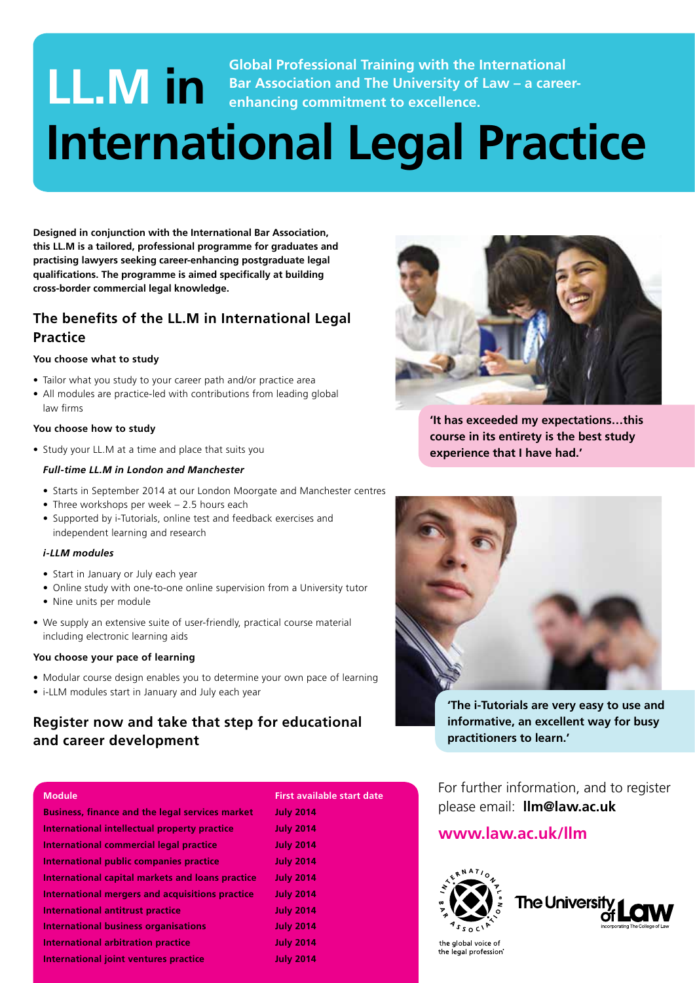#### **LL.M IM in Bar Association and Training with the International Bar Association and The University of Law – a caree enhancing commitment to excellence. Bar Association and The University of Law – a careerenhancing commitment to excellence.**

## **International Legal Practice**

**Designed in conjunction with the International Bar Association, this LL.M is a tailored, professional programme for graduates and practising lawyers seeking career-enhancing postgraduate legal**  qualifications. The programme is aimed specifically at building **cross-border commercial legal knowledge.**

#### The benefits of the LL.M in International Legal **Practice**

#### **You choose what to study**

- Tailor what you study to your career path and/or practice area
- All modules are practice-led with contributions from leading global law firms

#### **You choose how to study**

• Study your LL.M at a time and place that suits you

#### *Full-time LL.M in London and Manchester*

- Starts in September 2014 at our London Moorgate and Manchester centres
- Three workshops per week 2.5 hours each
- Supported by i-Tutorials, online test and feedback exercises and independent learning and research

#### *i-LLM modules*

- Start in January or July each year
- Online study with one-to-one online supervision from a University tutor
- Nine units per module
- We supply an extensive suite of user-friendly, practical course material including electronic learning aids

#### **You choose your pace of learning**

- Modular course design enables you to determine your own pace of learning
- i-LLM modules start in January and July each year

#### **Register now and take that step for educational and career development**

| <b>Business, finance and the legal services market</b> | <b>July 2014</b> |
|--------------------------------------------------------|------------------|
| International intellectual property practice           | <b>July 2014</b> |
| International commercial legal practice                | <b>July 2014</b> |
| International public companies practice                | <b>July 2014</b> |
| International capital markets and loans practice       | <b>July 2014</b> |
| International mergers and acquisitions practice        | <b>July 2014</b> |
| International antitrust practice                       | <b>July 2014</b> |
| <b>International business organisations</b>            | <b>July 2014</b> |
| <b>International arbitration practice</b>              | <b>July 2014</b> |
| International joint ventures practice                  | <b>July 2014</b> |





**'It has exceeded my expectations…this course in its entirety is the best study experience that I have had.'**



**'The i-Tutorials are very easy to use and informative, an excellent way for busy practitioners to learn.'**

For further information, and to register please email: **llm@law.ac.uk**

#### **www.law.ac.uk/llm**





the global voice of the legal profession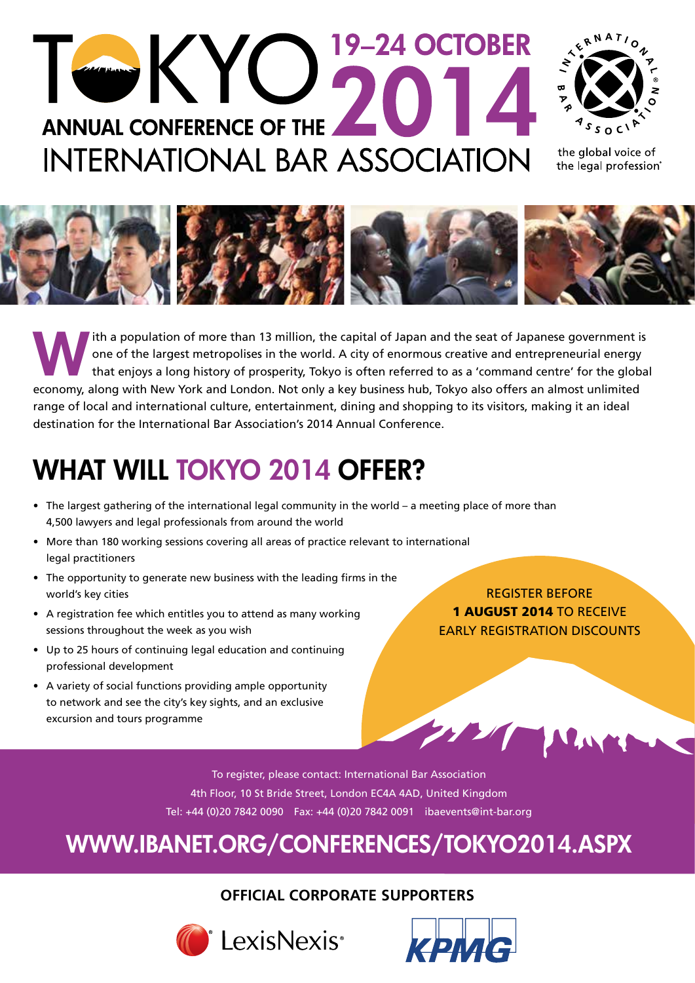## 19-24 OCTOBER TOKYO **ANNUAL CONFERENCE OF THE INTERNATIONAL BAR ASSOCIATION**



the global voice of the legal profession®



Ith a population of more than 13 million, the capital of Japan and the seat of Japanese government is<br>
one of the largest metropolises in the world. A city of enormous creative and entrepreneurial energy<br>
that enjoys a lon one of the largest metropolises in the world. A city of enormous creative and entrepreneurial energy that enjoys a long history of prosperity, Tokyo is often referred to as a 'command centre' for the global economy, along with New York and London. Not only a key business hub, Tokyo also offers an almost unlimited range of local and international culture, entertainment, dining and shopping to its visitors, making it an ideal destination for the International Bar Association's 2014 Annual Conference.

## WHAT WILL TOKYO 2014 OFFER?

- The largest gathering of the international legal community in the world a meeting place of more than 4,500 lawyers and legal professionals from around the world
- More than 180 working sessions covering all areas of practice relevant to international legal practitioners
- The opportunity to generate new business with the leading firms in the world's key cities
- A registration fee which entitles you to attend as many working sessions throughout the week as you wish
- Up to 25 hours of continuing legal education and continuing professional development
- A variety of social functions providing ample opportunity to network and see the city's key sights, and an exclusive excursion and tours programme

REGISTER BEFORE 1 AUGUST 2014 TO RECEIVE EARLY REGISTRATION DISCOUNTS

To register, please contact: International Bar Association 4th Floor, 10 St Bride Street, London EC4A 4AD, United Kingdom Tel: +44 (0)20 7842 0090 Fax: +44 (0)20 7842 0091 ibaevents@int-bar.org

### WWW.IBANET.ORG/CONFERENCES/TOKYO2014.ASPX

#### **OFFICIAL CORPORATE SUPPORTERS**



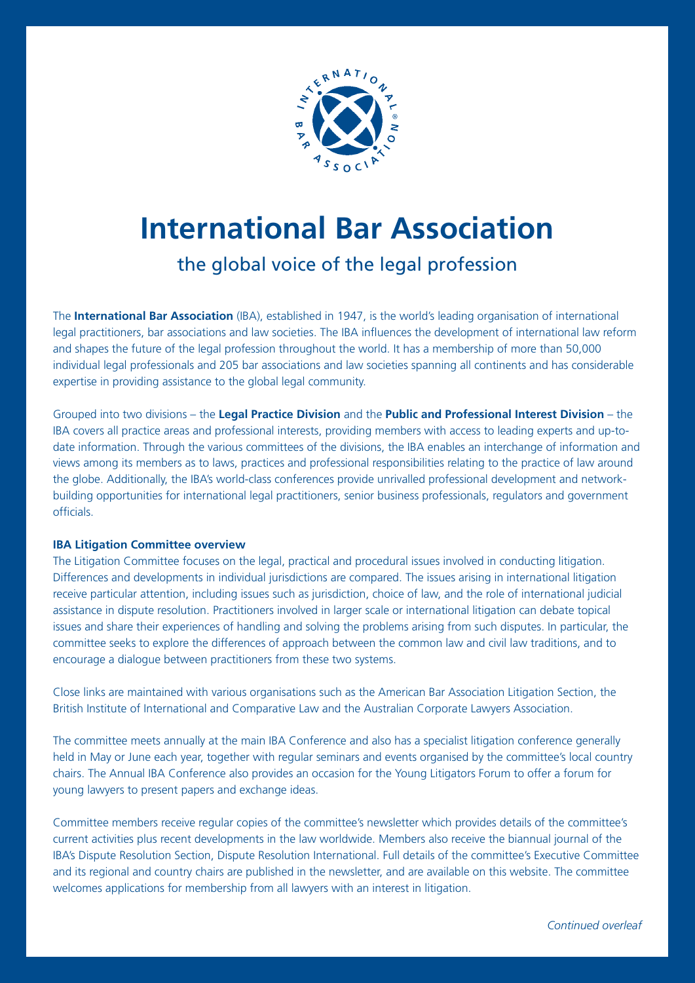

## **International Bar Association**

#### the global voice of the legal profession

The **International Bar Association** (IBA), established in 1947, is the world's leading organisation of international legal practitioners, bar associations and law societies. The IBA influences the development of international law reform and shapes the future of the legal profession throughout the world. It has a membership of more than 50,000 individual legal professionals and 205 bar associations and law societies spanning all continents and has considerable expertise in providing assistance to the global legal community.

the globe. Additionally, the IBAS world-class conferences provide unrivalled professional development and network-<br>building opportunities for international legal practitioners, senior business professionals, regulators and Grouped into two divisions – the **Legal Practice Division** and the **Public and Professional Interest Division** – the IBA covers all practice areas and professional interests, providing members with access to leading experts and up-todate information. Through the various committees of the divisions, the IBA enables an interchange of information and views among its members as to laws, practices and professional responsibilities relating to the practice of law around the globe. Additionally, the IBA's world-class conferences provide unrivalled professional development and networkofficials.

#### **IBA Litigation Committee overview**

The Litigation Committee focuses on the legal, practical and procedural issues involved in conducting litigation. Differences and developments in individual jurisdictions are compared. The issues arising in international litigation receive particular attention, including issues such as jurisdiction, choice of law, and the role of international judicial assistance in dispute resolution. Practitioners involved in larger scale or international litigation can debate topical issues and share their experiences of handling and solving the problems arising from such disputes. In particular, the committee seeks to explore the differences of approach between the common law and civil law traditions, and to encourage a dialogue between practitioners from these two systems.

Close links are maintained with various organisations such as the American Bar Association Litigation Section, the British Institute of International and Comparative Law and the Australian Corporate Lawyers Association.

The committee meets annually at the main IBA Conference and also has a specialist litigation conference generally held in May or June each year, together with regular seminars and events organised by the committee's local country chairs. The Annual IBA Conference also provides an occasion for the Young Litigators Forum to offer a forum for young lawyers to present papers and exchange ideas.

Committee members receive regular copies of the committee's newsletter which provides details of the committee's current activities plus recent developments in the law worldwide. Members also receive the biannual journal of the IBA's Dispute Resolution Section, Dispute Resolution International. Full details of the committee's Executive Committee and its regional and country chairs are published in the newsletter, and are available on this website. The committee welcomes applications for membership from all lawyers with an interest in litigation.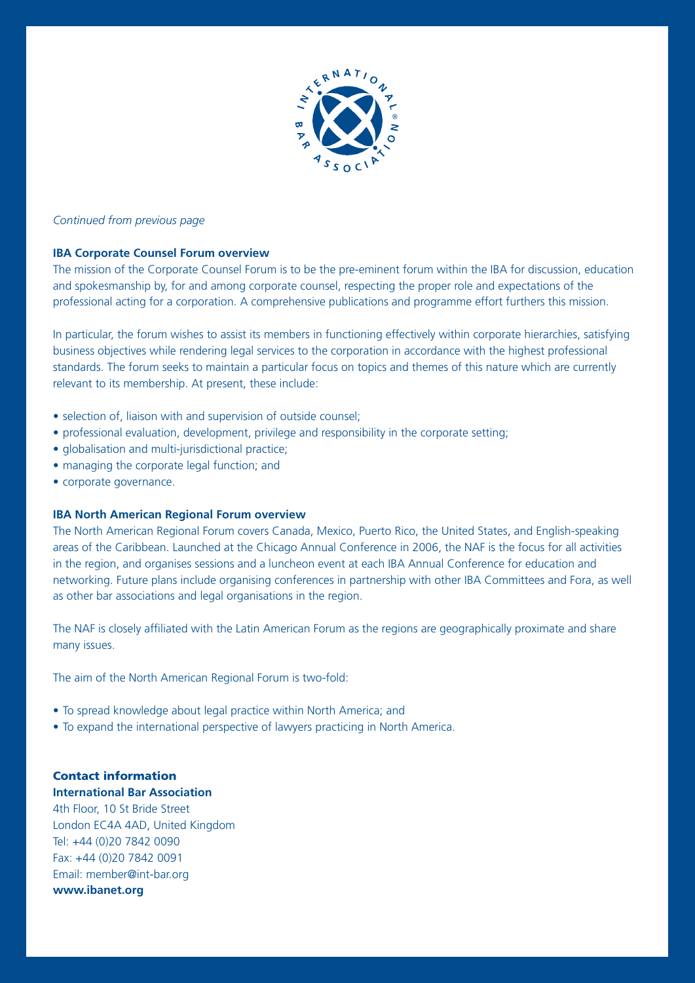

#### *Continued from previous page*

#### **IBA Corporate Counsel Forum overview**

The mission of the Corporate Counsel Forum is to be the pre-eminent forum within the IBA for discussion, education and spokesmanship by, for and among corporate counsel, respecting the proper role and expectations of the professional acting for a corporation. A comprehensive publications and programme effort furthers this mission.

In particular, the forum wishes to assist its members in functioning effectively within corporate hierarchies, satisfying business objectives while rendering legal services to the corporation in accordance with the highest professional standards. The forum seeks to maintain a particular focus on topics and themes of this nature which are currently relevant to its membership. At present, these include:

- selection of, liaison with and supervision of outside counsel:
- professional evaluation, development, privilege and responsibility in the corporate setting;
- globalisation and multi-jurisdictional practice;
- managing the corporate legal function; and
- corporate governance.

#### **IBA North American Regional Forum overview**

The North American Regional Forum covers Canada, Mexico, Puerto Rico, the United States, and English-speaking areas of the Caribbean. Launched at the Chicago Annual Conference in 2006, the NAF is the focus for all activities in the region, and organises sessions and a luncheon event at each IBA Annual Conference for education and networking. Future plans include organising conferences in partnership with other IBA Committees and Fora, as well as other bar associations and legal organisations in the region.

The NAF is closely affiliated with the Latin American Forum as the regions are geographically proximate and share many issues.

The aim of the North American Regional Forum is two-fold:

- To spread knowledge about legal practice within North America; and
- To expand the international perspective of lawyers practicing in North America.

#### Contact information **International Bar Association**

4th Floor, 10 St Bride Street London EC4A 4AD, United Kingdom Tel: +44 (0)20 7842 0090 Fax: +44 (0)20 7842 0091 Email: member@int-bar.org **www.ibanet.org**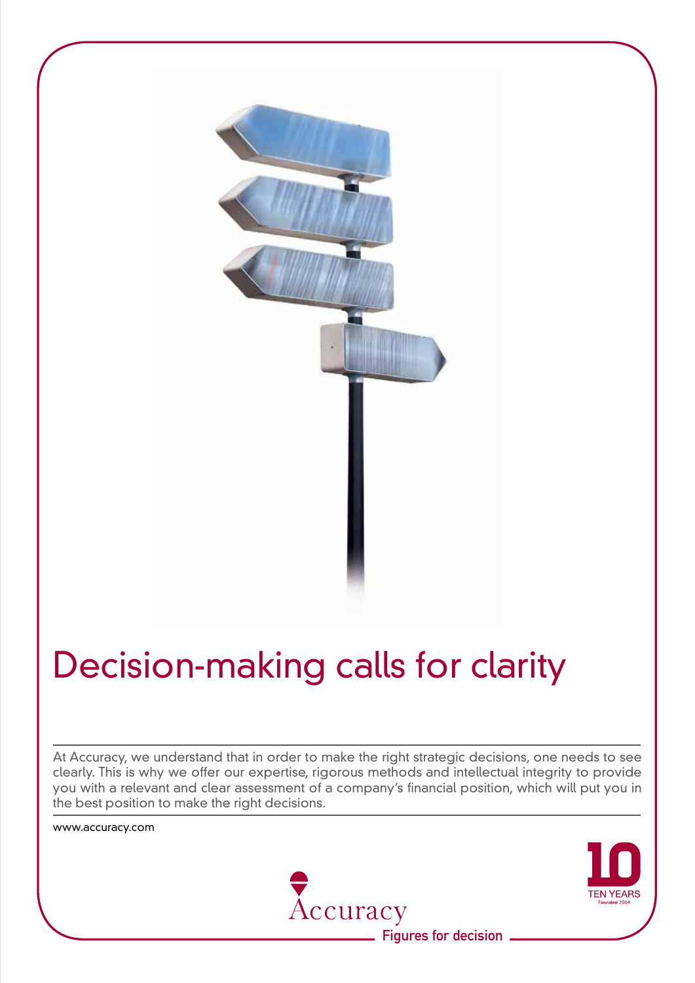

## Decision-making calls for clarity

At Accuracy, we understand that in order to make the right strategic decisions, one needs to see clearly. This is why we offer our expertise, rigorous methods and intellectual integrity to provide you with a relevant and clear assessment of a company's financial position, which will put you in the best position to make the right decisions.

www.accuracy.com



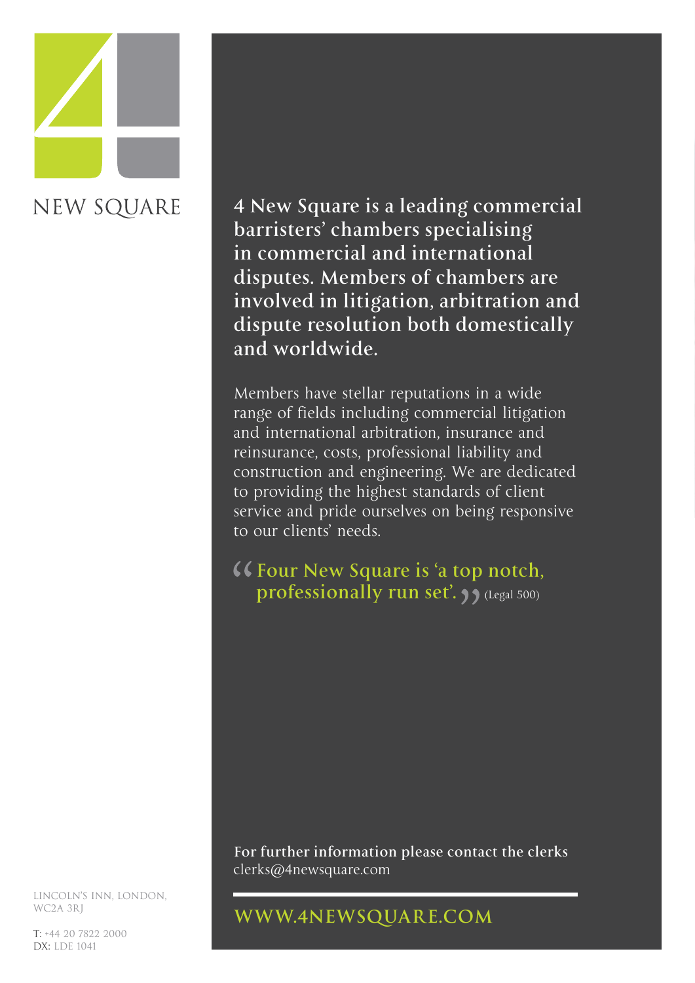# **NEW SQUARE**

**4 New Square is a leading commercial barristers' chambers specialising in commercial and international disputes. Members of chambers are involved in litigation, arbitration and dispute resolution both domestically and worldwide.**

Members have stellar reputations in a wide range of fields including commercial litigation and international arbitration, insurance and reinsurance, costs, professional liability and construction and engineering. We are dedicated to providing the highest standards of client service and pride ourselves on being responsive to our clients' needs.

**Four New Square is 'a top notch, professionally run set'.**  $\overline{\mathbf{y}}$  (Legal 500)

**For further information please contact the clerks**  clerks@4newsquare.com

#### **WWW.4NEWSQUARE.COM**

LINCOLN'S INN, LONDON, WC2A 3RJ

T: +44 20 7822 2000 DX: LDE 1041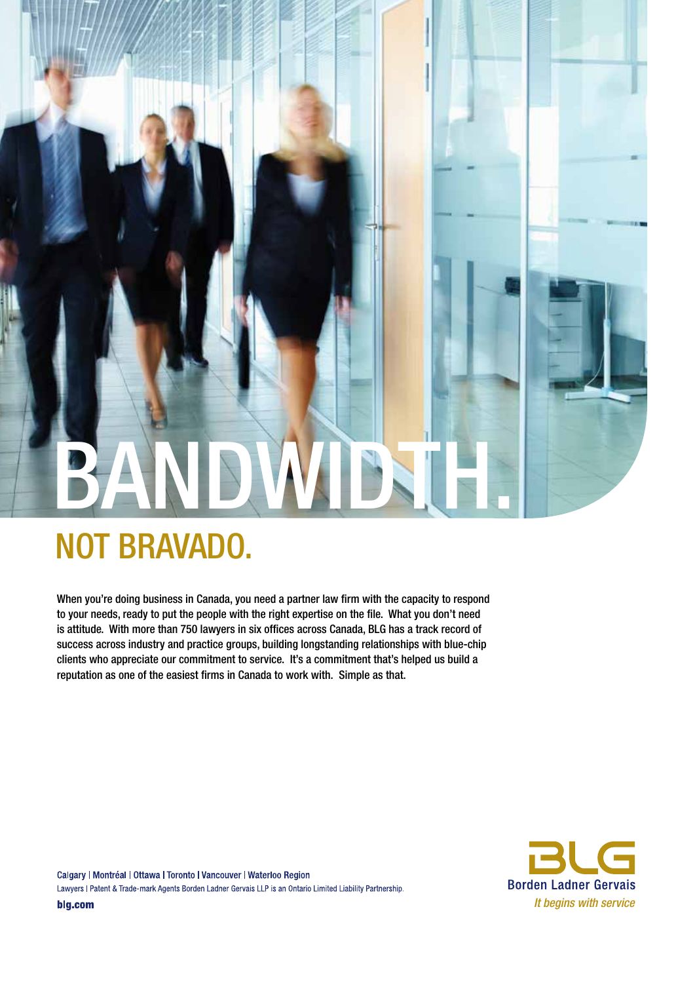## BANDWDSTH.

## not bravado.

when you're doing business in Canada, you need a partner law firm with the capacity to respond to your needs, ready to put the people with the right expertise on the file. what you don't need is attitude. with more than 750 lawyers in six offices across Canada, bLG has a track record of success across industry and practice groups, building longstanding relationships with blue-chip clients who appreciate our commitment to service. it's a commitment that's helped us build a reputation as one of the easiest firms in Canada to work with. Simple as that.



Calgary | Montréal | Ottawa | Toronto | Vancouver | Waterloo Region Lawyers I Patent & Trade-mark Agents Borden Ladner Gervais LLP is an Ontario Limited Liability Partnership. blg.com